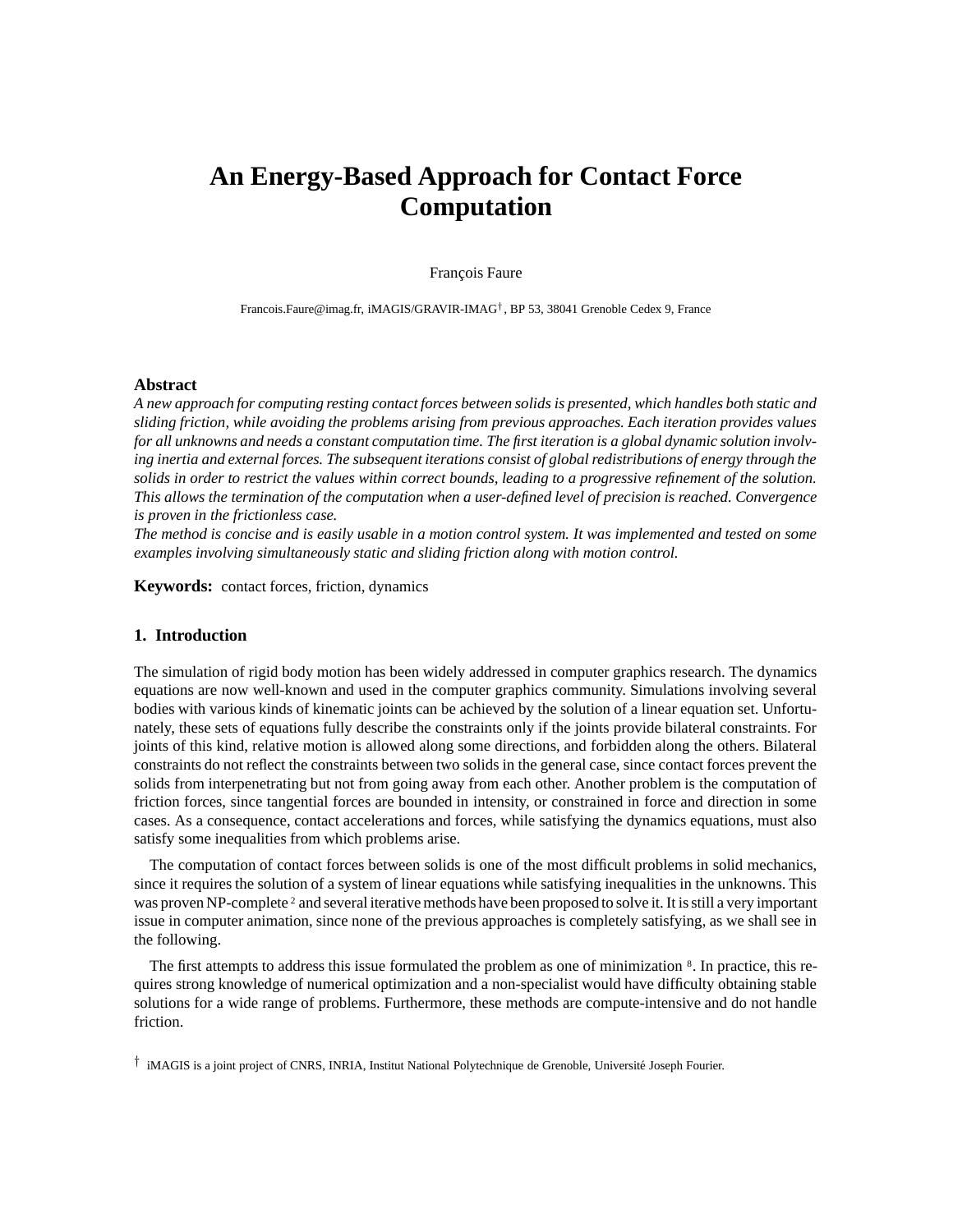# **An Energy-Based Approach for Contact Force Computation**

# François Faure

Francois.Faure@imag.fr, iMAGIS/GRAVIR-IMAG† , BP 53, 38041 Grenoble Cedex 9, France

# **Abstract**

A new approach for computing resting contact forces between solids is presented, which handles both static and *sliding friction, while avoiding the problems arising from previous approaches. Each iteration provides values* for all unknowns and needs a constant computation time. The first iteration is a global dynamic solution involving inertia and external forces. The subsequent iterations consist of global redistributions of energy through the solids in order to restrict the values within correct bounds, leading to a progressive refinement of the solution. *This allows the termination of the computation when a user-defined level of precision is reached. Convergence is proven in the frictionless case.*

The method is concise and is easily usable in a motion control system. It was implemented and tested on some *examples involving simultaneously static and sliding friction along with motion control.*

**Keywords:** contact forces, friction, dynamics

# **1. Introduction**

The simulation of rigid body motion has been widely addressed in computer graphics research. The dynamics equations are now well-known and used in the computer graphics community. Simulations involving several bodies with various kinds of kinematic joints can be achieved by the solution of a linear equation set. Unfortunately, these sets of equations fully describe the constraints only if the joints provide bilateral constraints. For joints of this kind, relative motion is allowed along some directions, and forbidden along the others. Bilateral constraints do not reflect the constraints between two solids in the general case, since contact forces prevent the solids from interpenetrating but not from going away from each other. Another problem is the computation of friction forces, since tangential forces are bounded in intensity, or constrained in force and direction in some cases. As a consequence, contact accelerations and forces, while satisfying the dynamics equations, must also satisfy some inequalities from which problems arise.

The computation of contact forces between solids is one of the most difficult problems in solid mechanics, since it requires the solution of a system of linear equations while satisfying inequalities in the unknowns. This was proven NP-complete<sup>2</sup> and several iterative methods have been proposed to solve it. It is still a very important issue in computer animation, since none of the previous approaches is completely satisfying, as we shall see in the following.

The first attempts to address this issue formulated the problem as one of minimization <sup>8</sup> . In practice, this requires strong knowledge of numerical optimization and a non-specialist would have difficulty obtaining stable solutions for a wide range of problems. Furthermore, these methods are compute-intensive and do not handle friction.

† iMAGIS is a joint project of CNRS, INRIA, Institut National Polytechnique de Grenoble, Universite´ Joseph Fourier.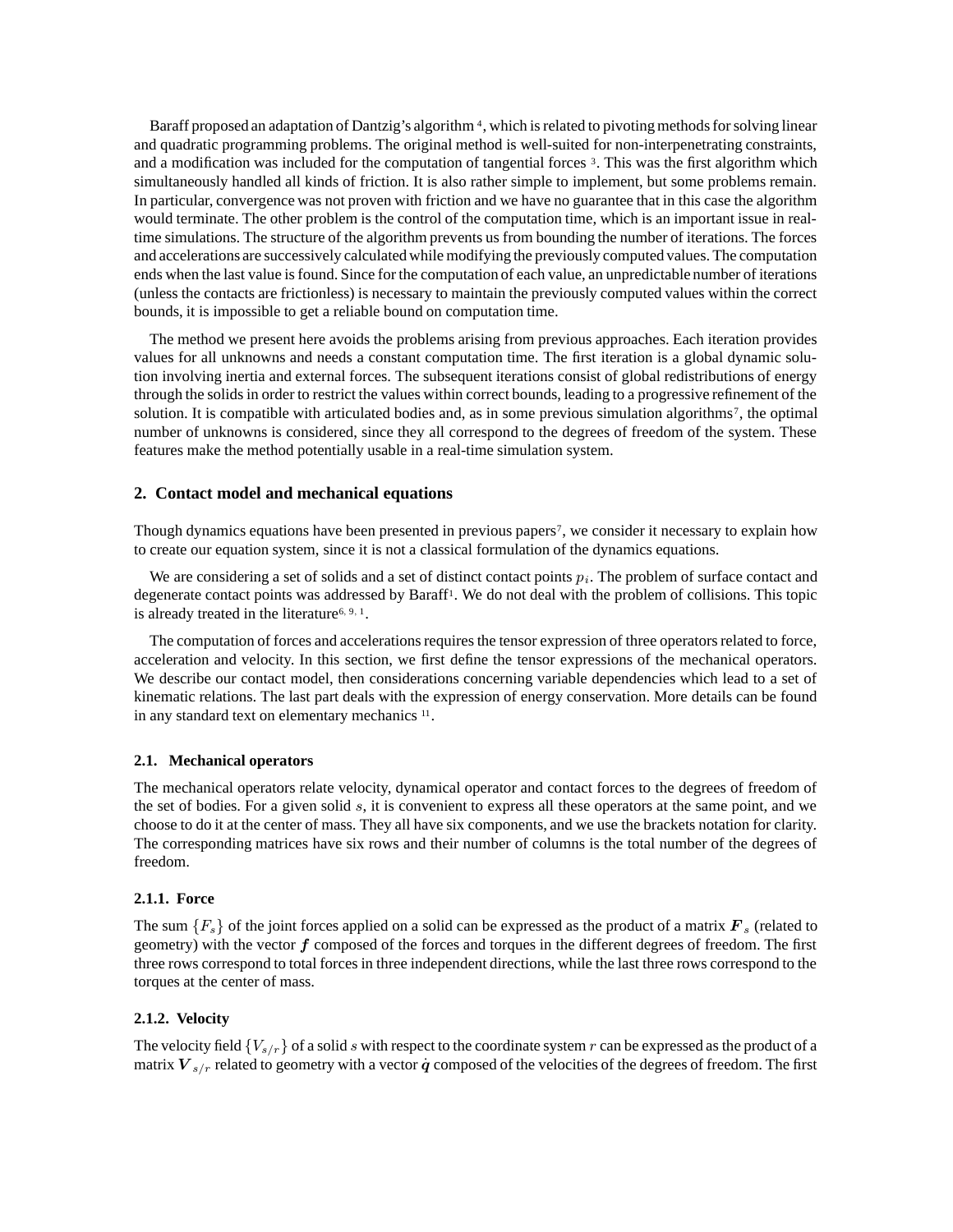Baraff proposed an adaptation of Dantzig's algorithm<sup>4</sup>, which is related to pivoting methods for solving linear and quadratic programming problems. The original method is well-suited for non-interpenetrating constraints, and a modification was included for the computation of tangential forces 3. This was the first algorithm which simultaneously handled all kinds of friction. It is also rather simple to implement, but some problems remain. In particular, convergence was not proven with friction and we have no guarantee that in this case the algorithm would terminate. The other problem is the control of the computation time, which is an important issue in realtime simulations. The structure of the algorithm prevents us from bounding the number of iterations. The forces and accelerations are successively calculated while modifying the previously computed values. The computation ends when the last value is found. Since for the computation of each value, an unpredictable number of iterations (unless the contacts are frictionless) is necessary to maintain the previously computed values within the correct bounds, it is impossible to get a reliable bound on computation time.

The method we present here avoids the problems arising from previous approaches. Each iteration provides values for all unknowns and needs a constant computation time. The first iteration is a global dynamic solution involving inertia and external forces. The subsequent iterations consist of global redistributions of energy through the solids in order to restrict the values within correct bounds, leading to a progressive refinement of the solution. It is compatible with articulated bodies and, as in some previous simulation algorithms<sup>7</sup>, the optimal number of unknowns is considered, since they all correspond to the degrees of freedom of the system. These features make the method potentially usable in a real-time simulation system.

# **2. Contact model and mechanical equations**

Though dynamics equations have been presented in previous papers<sup>7</sup>, we consider it necessary to explain how to create our equation system, since it is not a classical formulation of the dynamics equations.

We are considering a set of solids and a set of distinct contact points  $p_i$ . The problem of surface contact and degenerate contact points was addressed by Baraff 1 . We do not deal with the problem of collisions. This topic is already treated in the literature<sup>6, 9, 1</sup>.

The computation of forces and accelerations requires the tensor expression of three operators related to force, acceleration and velocity. In this section, we first define the tensor expressions of the mechanical operators. We describe our contact model, then considerations concerning variable dependencies which lead to a set of kinematic relations. The last part deals with the expression of energy conservation. More details can be found in any standard text on elementary mechanics <sup>11</sup>.

# **2.1. Mechanical operators**

The mechanical operators relate velocity, dynamical operator and contact forces to the degrees of freedom of the set of bodies. For a given solid s, it is convenient to express all these operators at the same point, and we choose to do it at the center of mass. They all have six components, and we use the brackets notation for clarity. The corresponding matrices have six rows and their number of columns is the total number of the degrees of freedom.

# **2.1.1. Force**

The sum  ${F<sub>s</sub>}$  of the joint forces applied on a solid can be expressed as the product of a matrix  $\mathbf{F}<sub>s</sub>$  (related to geometry) with the vector  $f$  composed of the forces and torques in the different degrees of freedom. The first three rows correspond to total forces in three independent directions, while the last three rows correspond to the torques at the center of mass.

# **2.1.2. Velocity**

The velocity field  $\{V_{s/r}\}$  of a solid s with respect to the coordinate system r can be expressed as the product of a matrix  $V_{s/r}$  related to geometry with a vector  $\dot{q}$  composed of the velocities of the degrees of freedom. The first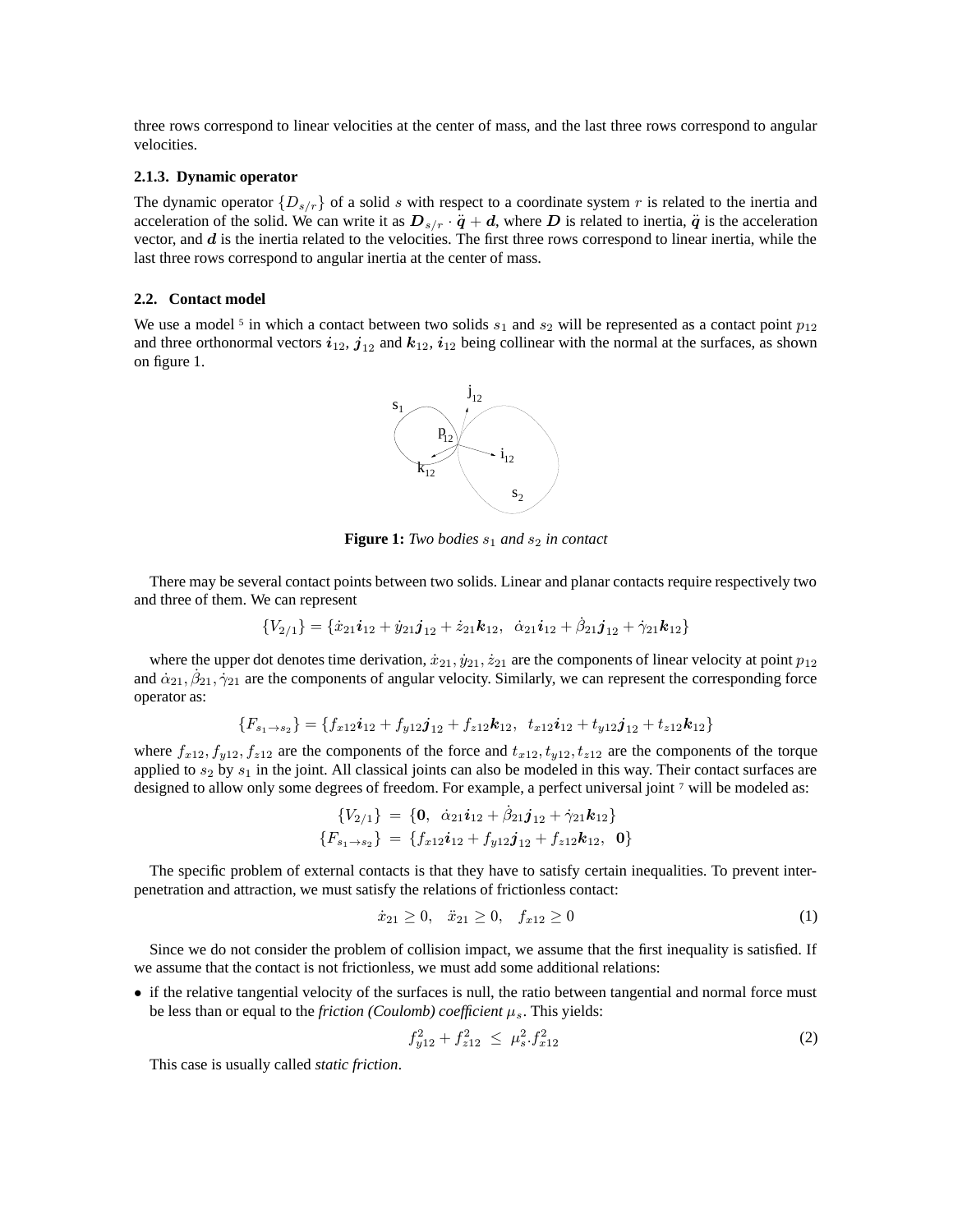three rows correspond to linear velocities at the center of mass, and the last three rows correspond to angular velocities.

# **2.1.3. Dynamic operator**

The dynamic operator  $\{D_{s/r}\}\$  of a solid s with respect to a coordinate system r is related to the inertia and acceleration of the solid. We can write it as  $D_{s/r} \cdot \ddot{q} + d$ , where D is related to inertia,  $\ddot{q}$  is the acceleration vector, and  $d$  is the inertia related to the velocities. The first three rows correspond to linear inertia, while the last three rows correspond to angular inertia at the center of mass.

## **2.2. Contact model**

We use a model <sup>5</sup> in which a contact between two solids  $s_1$  and  $s_2$  will be represented as a contact point  $p_{12}$ and three orthonormal vectors  $i_{12}$ ,  $j_{12}$  and  $k_{12}$ ,  $i_{12}$  being collinear with the normal at the surfaces, as shown on figure 1.



**Figure 1:** *Two bodies*  $s_1$  *and*  $s_2$  *in contact* 

There may be several contact points between two solids. Linear and planar contacts require respectively two and three of them. We can represent

$$
{V_{2/1}} = {\dot{x}_{21}}\mathbf{i}_{12} + \dot{y}_{21}\mathbf{j}_{12} + \dot{z}_{21}\mathbf{k}_{12}, \ \ \dot{\alpha}_{21}\mathbf{i}_{12} + \dot{\beta}_{21}\mathbf{j}_{12} + \dot{\gamma}_{21}\mathbf{k}_{12}
$$

where the upper dot denotes time derivation,  $\dot{x}_{21}$ ,  $\dot{y}_{21}$ ,  $\dot{z}_{21}$  are the components of linear velocity at point  $p_{12}$ and  $\alpha_{21}$ ,  $\beta_{21}$ ,  $\gamma_{21}$  are the components of angular velocity. Similarly, we can represent the corresponding force operator as:

$$
\{F_{s_1\rightarrow s_2}\} = \{f_{x12}\mathbf{i}_{12} + f_{y12}\mathbf{j}_{12} + f_{z12}\mathbf{k}_{12}, t_{x12}\mathbf{i}_{12} + t_{y12}\mathbf{j}_{12} + t_{z12}\mathbf{k}_{12}\}
$$

where  $f_{x12}$ ,  $f_{y12}$ ,  $f_{z12}$  are the components of the force and  $t_{x12}$ ,  $t_{y12}$ ,  $t_{z12}$  are the components of the torque applied to  $s_2$  by  $s_1$  in the joint. All classical joints can also be modeled in this way. Their contact surfaces are designed to allow only some degrees of freedom. For example, a perfect universal joint 7 will be modeled as:

$$
\{V_{2/1}\} = \{\mathbf{0}, \ \dot{\alpha}_{21}\mathbf{i}_{12} + \dot{\beta}_{21}\mathbf{j}_{12} + \dot{\gamma}_{21}\mathbf{k}_{12}\}\
$$
  

$$
\{F_{s_1 \to s_2}\} = \{f_{x12}\mathbf{i}_{12} + f_{y12}\mathbf{j}_{12} + f_{z12}\mathbf{k}_{12}, \ \mathbf{0}\}
$$

The specific problem of external contacts is that they have to satisfy certain inequalities. To prevent interpenetration and attraction, we must satisfy the relations of frictionless contact:

$$
\dot{x}_{21} \ge 0, \quad \ddot{x}_{21} \ge 0, \quad f_{x12} \ge 0 \tag{1}
$$

Since we do not consider the problem of collision impact, we assume that the first inequality is satisfied. If we assume that the contact is not frictionless, we must add some additional relations:

• if the relative tangential velocity of the surfaces is null, the ratio between tangential and normal force must be less than or equal to the *friction (Coulomb) coefficient*  $\mu_s$ . This yields:

$$
f_{y12}^2 + f_{z12}^2 \le \mu_s^2 \cdot f_{x12}^2 \tag{2}
$$

This case is usually called *static friction*.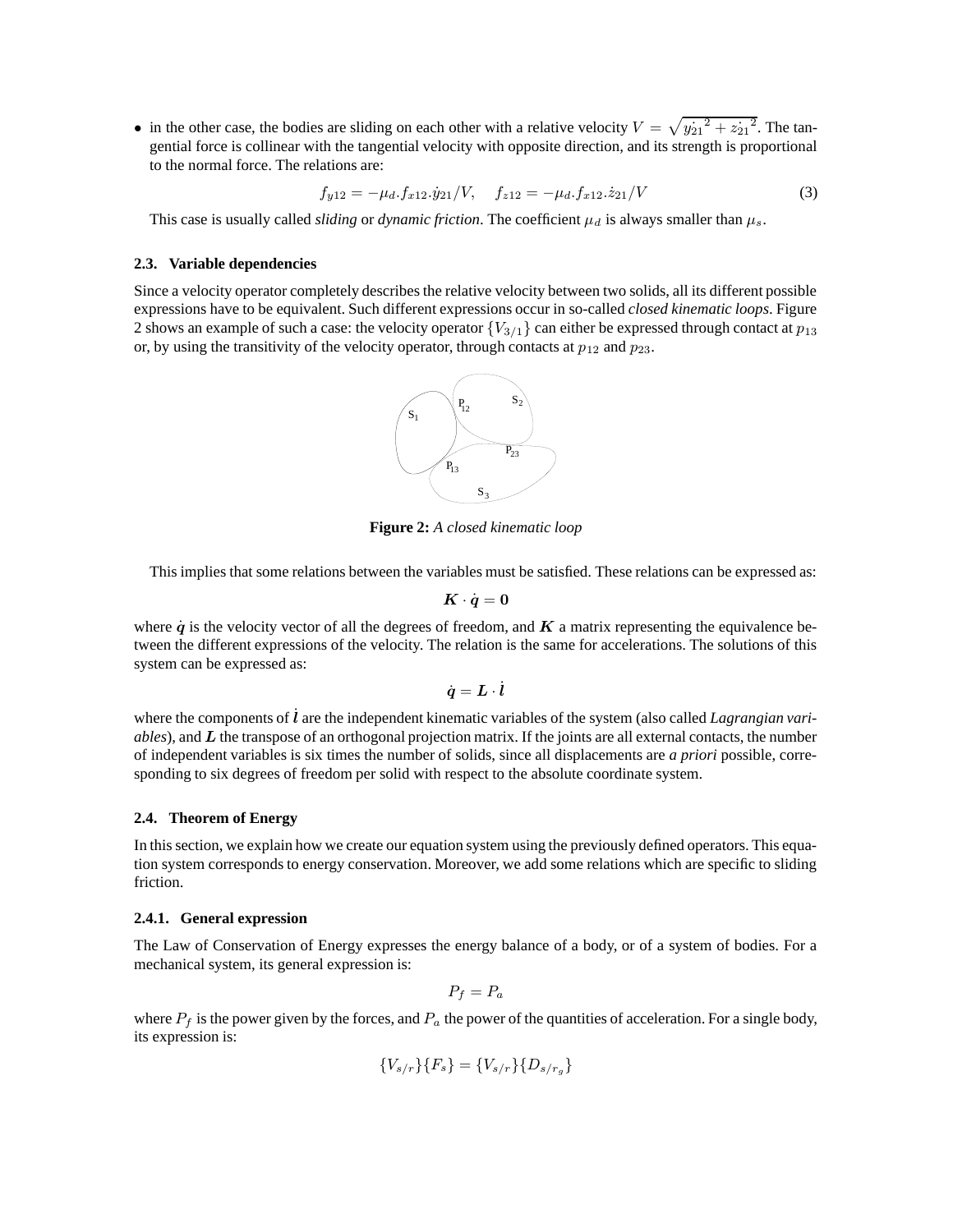• in the other case, the bodies are sliding on each other with a relative velocity  $V = \sqrt{y_{21}^2 + z_{21}^2}$ . The tangential force is collinear with the tangential velocity with opposite direction, and its strength is proportional to the normal force. The relations are:

$$
f_{y12} = -\mu_d \cdot f_{x12} \cdot \dot{y}_{21} / V, \quad f_{z12} = -\mu_d \cdot f_{x12} \cdot \dot{z}_{21} / V \tag{3}
$$

This case is usually called *sliding* or *dynamic friction*. The coefficient  $\mu_d$  is always smaller than  $\mu_s$ .

# **2.3. Variable dependencies**

Since a velocity operator completely describes the relative velocity between two solids, all its different possible expressions have to be equivalent. Such different expressions occur in so-called *closed kinematic loops*. Figure 2 shows an example of such a case: the velocity operator  ${V_{3/1}}$  can either be expressed through contact at  $p_{13}$ or, by using the transitivity of the velocity operator, through contacts at  $p_{12}$  and  $p_{23}$ .



**Figure 2:** *A closed kinematic loop*

This implies that some relations between the variables must be satisfied. These relations can be expressed as:

$$
\boldsymbol{K}\cdot\dot{\boldsymbol{q}}=\boldsymbol{0}
$$

where  $\dot{q}$  is the velocity vector of all the degrees of freedom, and  $K$  a matrix representing the equivalence between the different expressions of the velocity. The relation is the same for accelerations. The solutions of this system can be expressed as:

$$
\dot{\boldsymbol{q}} = \boldsymbol{L} \cdot \dot{\boldsymbol{l}}
$$

where the components of  $\hat{l}$  are the independent kinematic variables of the system (also called *Lagrangian variables*), and L the transpose of an orthogonal projection matrix. If the joints are all external contacts, the number of independent variables is six times the number of solids, since all displacements are *a priori* possible, corresponding to six degrees of freedom per solid with respect to the absolute coordinate system.

# **2.4. Theorem of Energy**

In this section, we explain how we create our equation system using the previously defined operators. This equation system corresponds to energy conservation. Moreover, we add some relations which are specific to sliding friction.

#### **2.4.1. General expression**

The Law of Conservation of Energy expresses the energy balance of a body, or of a system of bodies. For a mechanical system, its general expression is:

$$
P_f = P_a
$$

where  $P_f$  is the power given by the forces, and  $P_a$  the power of the quantities of acceleration. For a single body, its expression is:

$$
\{V_{s/r}\}\{F_s\} = \{V_{s/r}\}\{D_{s/r_g}\}\
$$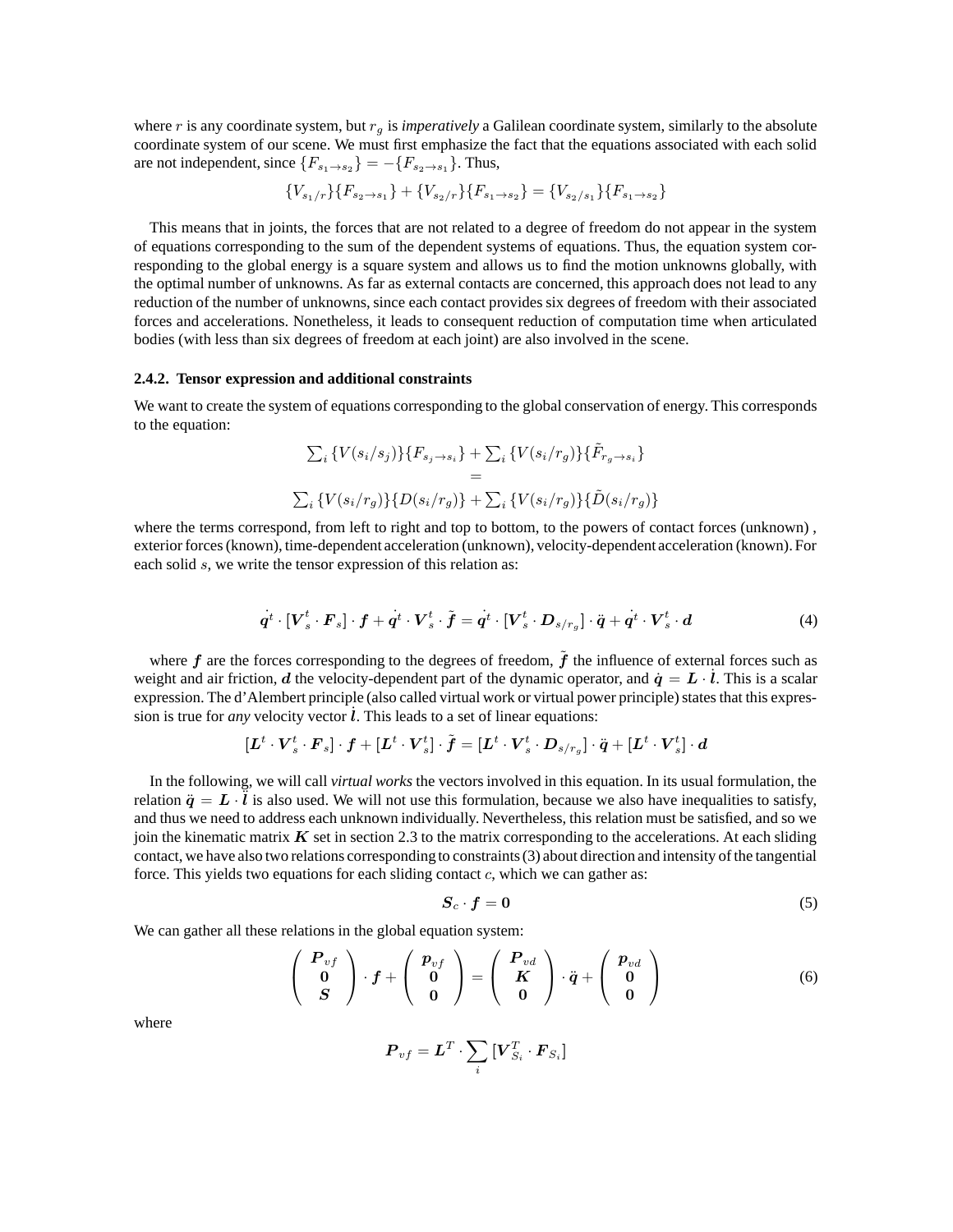where  $r$  is any coordinate system, but  $r<sub>q</sub>$  is *imperatively* a Galilean coordinate system, similarly to the absolute coordinate system of our scene. We must first emphasize the fact that the equations associated with each solid are not independent, since  ${F_{s_1 \to s_2}} = -{F_{s_2 \to s_1}}$ . Thus,

$$
\{V_{s_1/r}\}\{F_{s_2\to s_1}\} + \{V_{s_2/r}\}\{F_{s_1\to s_2}\} = \{V_{s_2/s_1}\}\{F_{s_1\to s_2}\}
$$

This means that in joints, the forces that are not related to a degree of freedom do not appear in the system of equations corresponding to the sum of the dependent systems of equations. Thus, the equation system corresponding to the global energy is a square system and allows us to find the motion unknowns globally, with the optimal number of unknowns. As far as external contacts are concerned, this approach does not lead to any reduction of the number of unknowns, since each contact provides six degrees of freedom with their associated forces and accelerations. Nonetheless, it leads to consequent reduction of computation time when articulated bodies (with less than six degrees of freedom at each joint) are also involved in the scene.

### **2.4.2. Tensor expression and additional constraints**

We want to create the system of equations corresponding to the global conservation of energy. This corresponds to the equation:

$$
\sum_{i} \{V(s_i/s_j)\}\{F_{s_j \to s_i}\} + \sum_{i} \{V(s_i/r_g)\}\{\tilde{F}_{r_g \to s_i}\}\
$$
  
=  

$$
\sum_{i} \{V(s_i/r_g)\}\{D(s_i/r_g)\} + \sum_{i} \{V(s_i/r_g)\}\{\tilde{D}(s_i/r_g)\}\
$$

where the terms correspond, from left to right and top to bottom, to the powers of contact forces (unknown), exterior forces(known), time-dependent acceleration (unknown), velocity-dependent acceleration (known). For each solid s, we write the tensor expression of this relation as:

$$
\dot{q}^t \cdot [V_s^t \cdot F_s] \cdot f + \dot{q}^t \cdot V_s^t \cdot \tilde{f} = \dot{q}^t \cdot [V_s^t \cdot D_{s/r_g}] \cdot \ddot{q} + \dot{q}^t \cdot V_s^t \cdot d \tag{4}
$$

where  $f$  are the forces corresponding to the degrees of freedom,  $\ddot{f}$  the influence of external forces such as weight and air friction, d the velocity-dependent part of the dynamic operator, and  $\dot{q} = L \cdot \dot{l}$ . This is a scalar expression. The d'Alembert principle (also called virtual work or virtual power principle) states that this expression is true for *any* velocity vector  $\hat{l}$ . This leads to a set of linear equations:

$$
[\boldsymbol{L}^t\cdot\boldsymbol{V}_s^t\cdot\boldsymbol{F}_s]\cdot\boldsymbol{f}+[\boldsymbol{L}^t\cdot\boldsymbol{V}_s^t]\cdot\tilde{\boldsymbol{f}}=[\boldsymbol{L}^t\cdot\boldsymbol{V}_s^t\cdot\boldsymbol{D}_{s/r_g}]\cdot\ddot{\boldsymbol{q}}+[\boldsymbol{L}^t\cdot\boldsymbol{V}_s^t]\cdot\boldsymbol{d}
$$

In the following, we will call *virtual works* the vectors involved in this equation. In its usual formulation, the relation  $\ddot{q} = L \cdot \ddot{l}$  is also used. We will not use this formulation, because we also have inequalities to satisfy, and thus we need to address each unknown individually. Nevertheless, this relation must be satisfied, and so we join the kinematic matrix  $K$  set in section 2.3 to the matrix corresponding to the accelerations. At each sliding contact, we have also two relations corresponding to constraints (3) about direction and intensity of the tangential force. This yields two equations for each sliding contact  $c$ , which we can gather as:

$$
S_c \cdot f = 0 \tag{5}
$$

We can gather all these relations in the global equation system:

$$
\left(\begin{array}{c}\n\boldsymbol{P}_{vf} \\
\boldsymbol{0} \\
\boldsymbol{S}\n\end{array}\right)\cdot\boldsymbol{f} + \left(\begin{array}{c}\n\boldsymbol{p}_{vf} \\
\boldsymbol{0} \\
\boldsymbol{0}\n\end{array}\right) = \left(\begin{array}{c}\n\boldsymbol{P}_{vd} \\
\boldsymbol{K} \\
\boldsymbol{0}\n\end{array}\right)\cdot\ddot{\boldsymbol{q}} + \left(\begin{array}{c}\n\boldsymbol{p}_{vd} \\
\boldsymbol{0} \\
\boldsymbol{0}\n\end{array}\right) \tag{6}
$$

where

$$
\boldsymbol{P}_{vf} = \boldsymbol{L}^T \cdot \sum_i{[\boldsymbol{V}_{S_i}^T \cdot \boldsymbol{F}_{S_i}]}
$$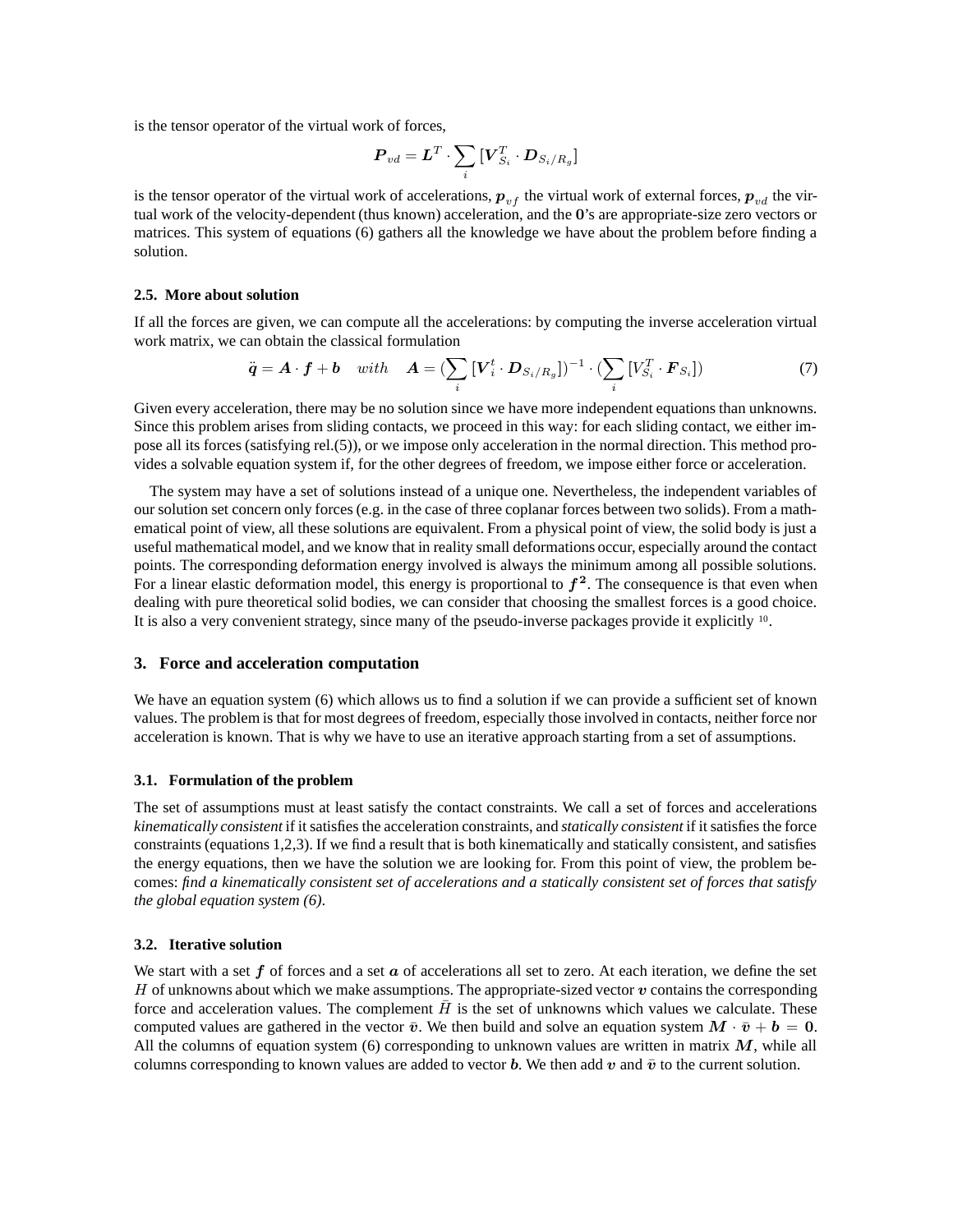is the tensor operator of the virtual work of forces,

$$
\boldsymbol{P}_{vd} = \boldsymbol{L}^T \cdot \sum_i \big[\boldsymbol{V}_{S_i}^T \cdot \boldsymbol{D}_{S_i/R_g}\big]
$$

is the tensor operator of the virtual work of accelerations,  $p_{vf}$  the virtual work of external forces,  $p_{vd}$  the virtual work of the velocity-dependent (thus known) acceleration, and the 0's are appropriate-size zero vectors or matrices. This system of equations (6) gathers all the knowledge we have about the problem before finding a solution.

## **2.5. More about solution**

If all the forces are given, we can compute all the accelerations: by computing the inverse acceleration virtual work matrix, we can obtain the classical formulation

$$
\ddot{\mathbf{q}} = \mathbf{A} \cdot \mathbf{f} + \mathbf{b} \quad with \quad \mathbf{A} = (\sum_{i} [\mathbf{V}_{i}^{t} \cdot \mathbf{D}_{S_{i}/R_{g}}])^{-1} \cdot (\sum_{i} [\mathbf{V}_{S_{i}}^{T} \cdot \mathbf{F}_{S_{i}}])
$$
(7)

Given every acceleration, there may be no solution since we have more independent equations than unknowns. Since this problem arises from sliding contacts, we proceed in this way: for each sliding contact, we either impose all its forces (satisfying rel.(5)), or we impose only acceleration in the normal direction. This method provides a solvable equation system if, for the other degrees of freedom, we impose either force or acceleration.

The system may have a set of solutions instead of a unique one. Nevertheless, the independent variables of our solution set concern only forces (e.g. in the case of three coplanar forces between two solids). From a mathematical point of view, all these solutions are equivalent. From a physical point of view, the solid body is just a useful mathematical model, and we know that in reality small deformations occur, especially around the contact points. The corresponding deformation energy involved is always the minimum among all possible solutions. For a linear elastic deformation model, this energy is proportional to  $f^2$ . The consequence is that even when dealing with pure theoretical solid bodies, we can consider that choosing the smallest forces is a good choice. It is also a very convenient strategy, since many of the pseudo-inverse packages provide it explicitly <sup>10</sup> .

# **3. Force and acceleration computation**

We have an equation system (6) which allows us to find a solution if we can provide a sufficient set of known values. The problem is that for most degrees of freedom, especially those involved in contacts, neither force nor acceleration is known. That is why we have to use an iterative approach starting from a set of assumptions.

# **3.1. Formulation of the problem**

The set of assumptions must at least satisfy the contact constraints. We call a set of forces and accelerations *kinematically consistent* if it satisfies the acceleration constraints, and *statically consistent* if it satisfies the force constraints (equations 1,2,3). If we find a result that is both kinematically and statically consistent, and satisfies the energy equations, then we have the solution we are looking for. From this point of view, the problem becomes: find a kinematically consistent set of accelerations and a statically consistent set of forces that satisfy *the global equation system (6)*.

## **3.2. Iterative solution**

We start with a set f of forces and a set  $\alpha$  of accelerations all set to zero. At each iteration, we define the set H of unknowns about which we make assumptions. The appropriate-sized vector  $\boldsymbol{v}$  contains the corresponding force and acceleration values. The complement  $\overline{H}$  is the set of unknowns which values we calculate. These computed values are gathered in the vector  $\bar{v}$ . We then build and solve an equation system  $M \cdot \bar{v} + b = 0$ . All the columns of equation system (6) corresponding to unknown values are written in matrix  $M$ , while all columns corresponding to known values are added to vector b. We then add v and  $\bar{v}$  to the current solution.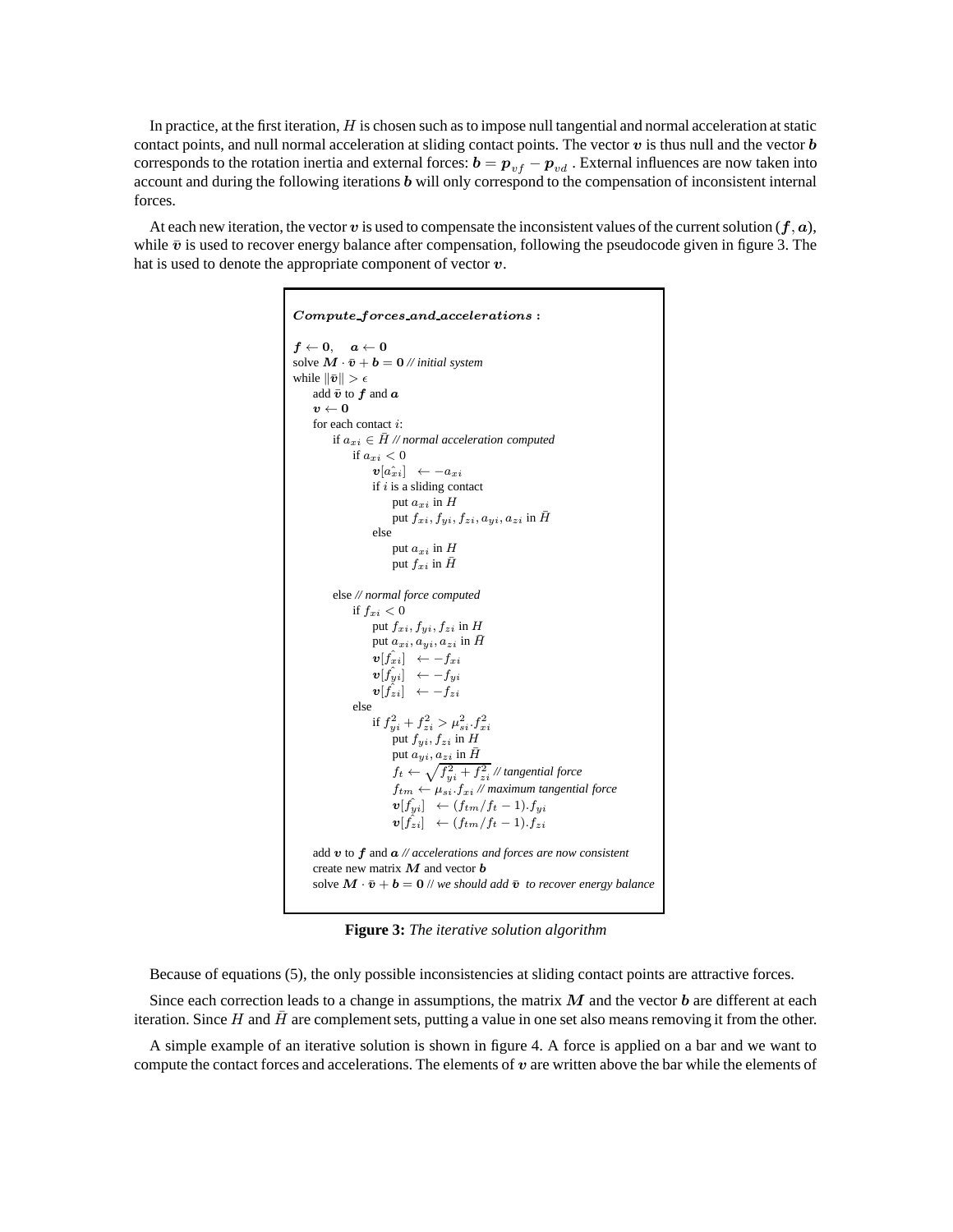In practice, at the first iteration,  $H$  is chosen such as to impose null tangential and normal acceleration at static contact points, and null normal acceleration at sliding contact points. The vector  $v$  is thus null and the vector  $\boldsymbol{b}$ corresponds to the rotation inertia and external forces:  $b = p_{vf} - p_{vd}$  . External influences are now taken into account and during the following iterations b will only correspond to the compensation of inconsistent internal forces.

At each new iteration, the vector v is used to compensate the inconsistent values of the current solution  $(f, a)$ , while  $\bar{v}$  is used to recover energy balance after compensation, following the pseudocode given in figure 3. The hat is used to denote the appropriate component of vector  $v$ .

```
Compute forces and accelerations :
f \leftarrow 0, \quad a \leftarrow 0solve \mathbf{M} \cdot \bar{\mathbf{v}} + \mathbf{b} = \mathbf{0} // initial system
while \|\bar{\bm{v}}\| > \epsilonadd \bar{v} to f and av \leftarrow 0for each contact i:
           if a_{xi} ∈ \bar{H} // normal acceleration computed
                  if a_{xi} < 0\bm{v}[a_{xi}^{\hat{}}] \ \ \leftarrow -a_{xi}if i is a sliding contact
                             put a_{xi} in Hput f_{xi}, f_{yi}, f_{zi}, a_{yi}, a_{zi} in \bar{H}else
                              put a_{xi} in Hput f_{xi} in \bar{H}else // normal force computed
                 if f_{xi} < 0put f_{xi}, f_{yi}, f_{zi} in Hput a_{xi}, a_{yi}, a_{zi} in \bar{H}\bm{v}[\hat{f_{xi}}] \ \ \leftarrow - f_{xi}\bm{v}[\hat{f_{yi}}] \ \ \leftarrow -f_{yi}\bm{v}[\hat{f}_{zi}] \ \ \leftarrow -f_{zi}else
                        if f_{yi}^2 + f_{zi}^2 > \mu_{si}^2.f_{xi}^2put f_{yi}, f_{zi} in H
                             put a_{yi}, a_{zi} in \bar{H}f_t \leftarrow \sqrt{f_{yi}^2 + f_{zi}^2} // tangential force
                              f_{tm} \leftarrow \mu_{si}. f_{xi} // maximum tangential force
                              \boldsymbol{v}[\hat{f}_{yi}] \ \ \leftarrow (f_{tm}/f_t-1).f_{yi}\boldsymbol{v}[\hat{f}_{zi}] \ \ \leftarrow (f_{tm}/f_t-1).f_{zi}add v to f and a // accelerations and forces are now consistent
     create new matrix M and vector bsolve \mathbf{M} \cdot \bar{\mathbf{v}} + \mathbf{b} = \mathbf{0} // we should add \bar{\mathbf{v}} to recover energy balance
```
**Figure 3:** *The iterative solution algorithm*

Because of equations (5), the only possible inconsistencies at sliding contact points are attractive forces.

Since each correction leads to a change in assumptions, the matrix  $M$  and the vector  $b$  are different at each iteration. Since  $H$  and  $\bar{H}$  are complement sets, putting a value in one set also means removing it from the other.

A simple example of an iterative solution is shown in figure 4. A force is applied on a bar and we want to compute the contact forces and accelerations. The elements of  $v$  are written above the bar while the elements of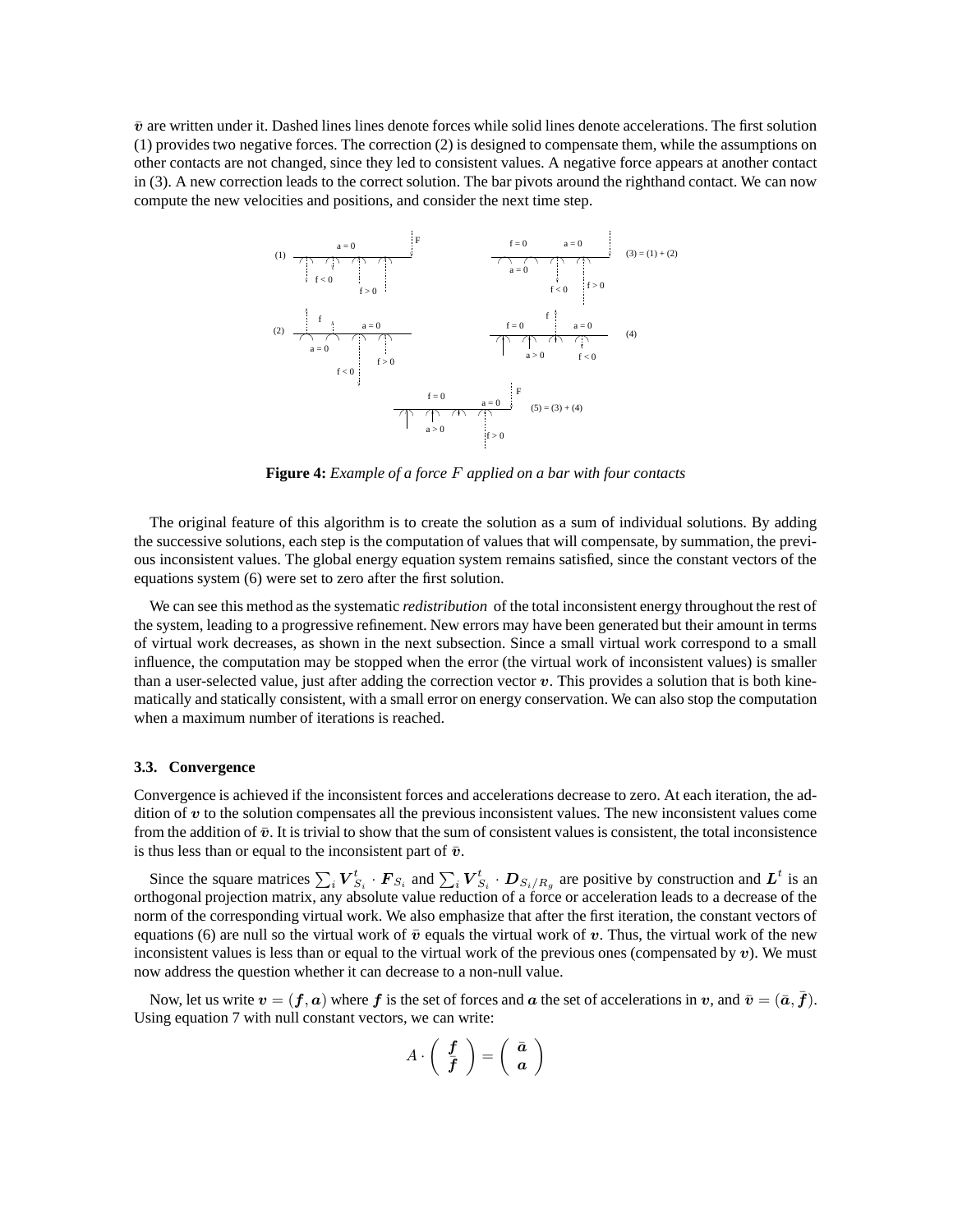$\bar{v}$  are written under it. Dashed lines lines denote forces while solid lines denote accelerations. The first solution (1) provides two negative forces. The correction (2) is designed to compensate them, while the assumptions on other contacts are not changed, since they led to consistent values. A negative force appears at another contact in (3). A new correction leads to the correct solution. The bar pivots around the righthand contact. We can now compute the new velocities and positions, and consider the next time step.



**Figure 4:** *Example of a force* F *applied on a bar with four contacts*

The original feature of this algorithm is to create the solution as a sum of individual solutions. By adding the successive solutions, each step is the computation of values that will compensate, by summation, the previous inconsistent values. The global energy equation system remains satisfied, since the constant vectors of the equations system (6) were set to zero after the first solution.

We can see this method as the systematic *redistribution* of the total inconsistent energy throughout the rest of the system, leading to a progressive refinement. New errors may have been generated but their amount in terms of virtual work decreases, as shown in the next subsection. Since a small virtual work correspond to a small influence, the computation may be stopped when the error (the virtual work of inconsistent values) is smaller than a user-selected value, just after adding the correction vector  $v$ . This provides a solution that is both kinematically and statically consistent, with a small error on energy conservation. We can also stop the computation when a maximum number of iterations is reached.

# **3.3. Convergence**

Convergence is achieved if the inconsistent forces and accelerations decrease to zero. At each iteration, the addition of v to the solution compensates all the previous inconsistent values. The new inconsistent values come from the addition of  $\bar{v}$ . It is trivial to show that the sum of consistent values is consistent, the total inconsistence is thus less than or equal to the inconsistent part of  $\bar{v}$ .

Since the square matrices  $\sum_i V_{S_i}^t \cdot F_{S_i}$  and  $\sum_i V_{S_i}^t \cdot D_{S_i/R_g}$  are positive by construction and  $L^t$  is an orthogonal projection matrix, any absolute value reduction of a force or acceleration leads to a decrease of the norm of the corresponding virtual work. We also emphasize that after the first iteration, the constant vectors of equations (6) are null so the virtual work of  $\bar{v}$  equals the virtual work of v. Thus, the virtual work of the new inconsistent values is less than or equal to the virtual work of the previous ones (compensated by  $v$ ). We must now address the question whether it can decrease to a non-null value.

Now, let us write  $v = (f, a)$  where f is the set of forces and a the set of accelerations in v, and  $\bar{v} = (\bar{a}, \bar{f})$ . Using equation 7 with null constant vectors, we can write:

$$
A \cdot \left(\begin{array}{c} f \\ \overline{f} \end{array}\right) = \left(\begin{array}{c} \bar{a} \\ a \end{array}\right)
$$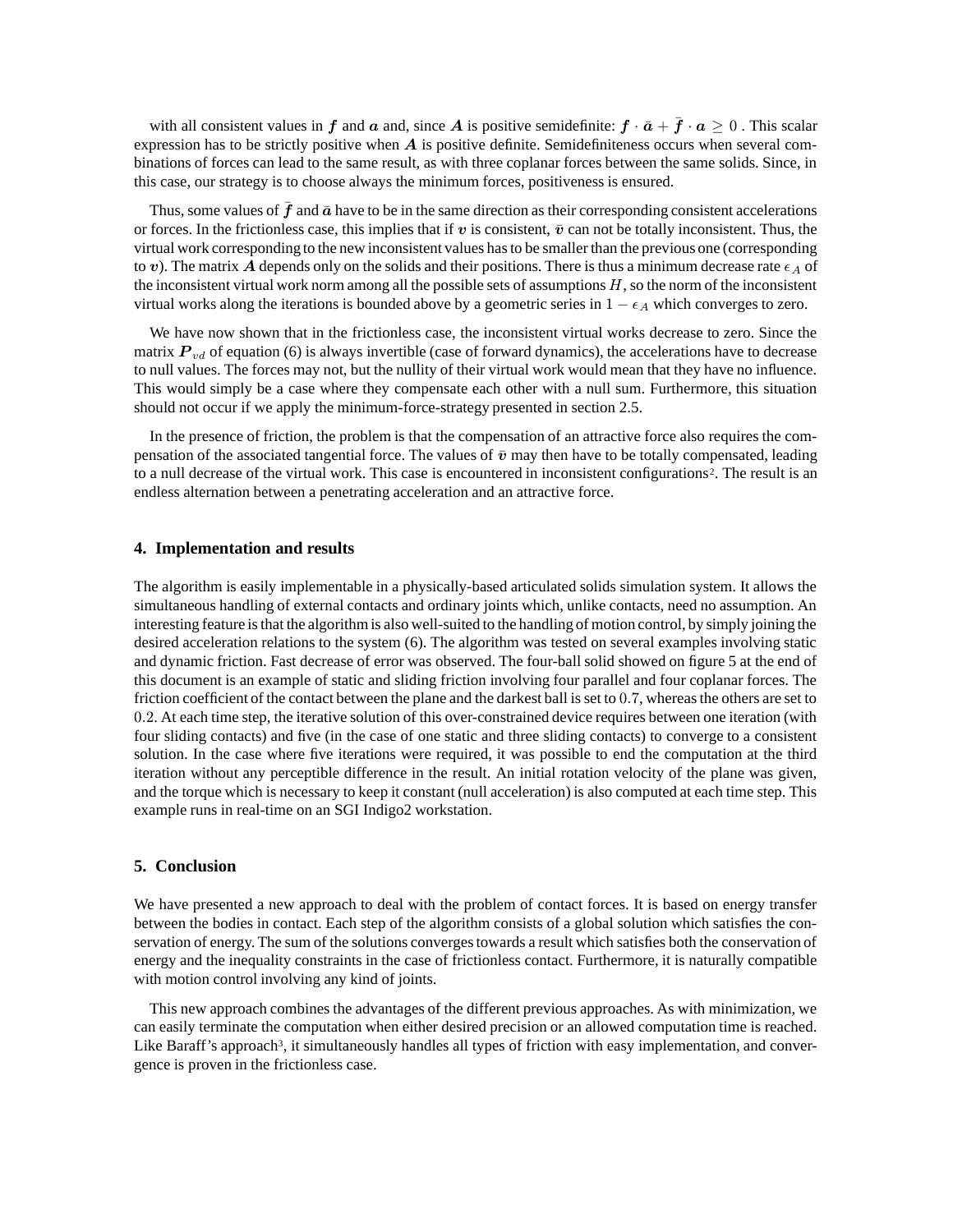with all consistent values in f and a and, since A is positive semidefinite:  $f \cdot \bar{a} + \bar{f} \cdot a \ge 0$ . This scalar expression has to be strictly positive when  $\vec{A}$  is positive definite. Semidefiniteness occurs when several combinations of forces can lead to the same result, as with three coplanar forces between the same solids. Since, in this case, our strategy is to choose always the minimum forces, positiveness is ensured.

Thus, some values of  $\bar{f}$  and  $\bar{a}$  have to be in the same direction as their corresponding consistent accelerations or forces. In the frictionless case, this implies that if v is consistent,  $\bar{v}$  can not be totally inconsistent. Thus, the virtual work corresponding to the new inconsistent values hasto be smaller than the previous one (corresponding to v). The matrix A depends only on the solids and their positions. There is thus a minimum decrease rate  $\epsilon_A$  of the inconsistent virtual work norm among all the possible sets of assumptions  $H$ , so the norm of the inconsistent virtual works along the iterations is bounded above by a geometric series in  $1 - \epsilon_A$  which converges to zero.

We have now shown that in the frictionless case, the inconsistent virtual works decrease to zero. Since the matrix  $P_{vd}$  of equation (6) is always invertible (case of forward dynamics), the accelerations have to decrease to null values. The forces may not, but the nullity of their virtual work would mean that they have no influence. This would simply be a case where they compensate each other with a null sum. Furthermore, this situation should not occur if we apply the minimum-force-strategy presented in section 2.5.

In the presence of friction, the problem is that the compensation of an attractive force also requires the compensation of the associated tangential force. The values of  $\bar{v}$  may then have to be totally compensated, leading to a null decrease of the virtual work. This case is encountered in inconsistent configurations<sup>2</sup>. The result is an endless alternation between a penetrating acceleration and an attractive force.

# **4. Implementation and results**

The algorithm is easily implementable in a physically-based articulated solids simulation system. It allows the simultaneous handling of external contacts and ordinary joints which, unlike contacts, need no assumption. An interesting feature isthat the algorithmis also well-suited to the handling of motion control, by simply joining the desired acceleration relations to the system (6). The algorithm was tested on several examples involving static and dynamic friction. Fast decrease of error was observed. The four-ball solid showed on figure 5 at the end of this document is an example of static and sliding friction involving four parallel and four coplanar forces. The friction coefficient of the contact between the plane and the darkest ball is set to 0.7, whereas the others are set to 0.2. At each time step, the iterative solution of this over-constrained device requires between one iteration (with four sliding contacts) and five (in the case of one static and three sliding contacts) to converge to a consistent solution. In the case where five iterations were required, it was possible to end the computation at the third iteration without any perceptible difference in the result. An initial rotation velocity of the plane was given, and the torque which is necessary to keep it constant (null acceleration) is also computed at each time step. This example runs in real-time on an SGI Indigo2 workstation.

## **5. Conclusion**

We have presented a new approach to deal with the problem of contact forces. It is based on energy transfer between the bodies in contact. Each step of the algorithm consists of a global solution which satisfies the conservation of energy. The sum of the solutions convergestowards a result which satisfies both the conservation of energy and the inequality constraints in the case of frictionless contact. Furthermore, it is naturally compatible with motion control involving any kind of joints.

This new approach combines the advantages of the different previous approaches. As with minimization, we can easily terminate the computation when either desired precision or an allowed computation time is reached. Like Baraff's approach<sup>3</sup>, it simultaneously handles all types of friction with easy implementation, and convergence is proven in the frictionless case.